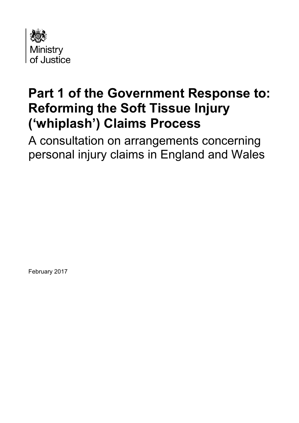

# **Part 1 of the Government Response to: Reforming the Soft Tissue Injury ('whiplash') Claims Process**

A consultation on arrangements concerning personal injury claims in England and Wales

February 2017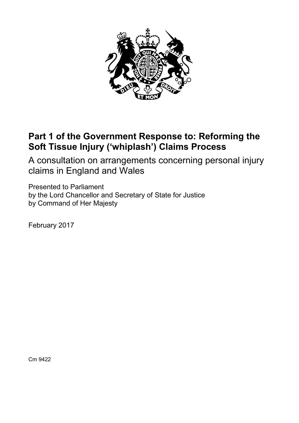

# **Part 1 of the Government Response to: Reforming the Soft Tissue Injury ('whiplash') Claims Process**

A consultation on arrangements concerning personal injury claims in England and Wales

Presented to Parliament by the Lord Chancellor and Secretary of State for Justice by Command of Her Majesty

February 2017

Cm 9422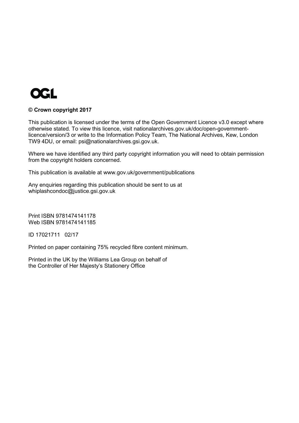

#### **© Crown copyright 2017**

This publication is licensed under the terms of the Open Government Licence v3.0 except where otherwise stated. To view this licence, visit [nationalarchives.gov.uk/doc/open-government](http://nationalarchives.gov.uk/doc/open-government-licence/version/3/)[licence/version/3](http://nationalarchives.gov.uk/doc/open-government-licence/version/3/) or write to the Information Policy Team, The National Archives, Kew, London TW9 4DU, or email: [psi@nationalarchives.gsi.gov.uk.](mailto:psi@nationalarchives.gsi.gov.uk)

Where we have identified any third party copyright information you will need to obtain permission from the copyright holders concerned.

This publication is available at [www.gov.uk/government/publications](http://www.gov.uk/government/publications)

Any enquiries regarding this publication should be sent to us at [whiplashcondoc@justice.gsi.gov.uk](mailto:whiplashcondoc@justice.gsi.gov.uk)

Print ISBN 9781474141178 Web ISBN 9781474141185

ID 17021711 02/17

Printed on paper containing 75% recycled fibre content minimum.

Printed in the UK by the Williams Lea Group on behalf of the Controller of Her Majesty's Stationery Office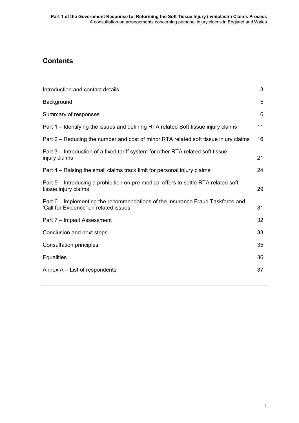## **Contents**

| Introduction and contact details                                                                                        | 3  |
|-------------------------------------------------------------------------------------------------------------------------|----|
| Background                                                                                                              | 5  |
| Summary of responses                                                                                                    | 6  |
| Part 1 – Identifying the issues and defining RTA related Soft tissue injury claims                                      | 11 |
| Part 2 – Reducing the number and cost of minor RTA related soft tissue injury claims                                    | 16 |
| Part 3 – Introduction of a fixed tariff system for other RTA related soft tissue<br>injury claims                       | 21 |
| Part 4 – Raising the small claims track limit for personal injury claims                                                | 24 |
| Part 5 - Introducing a prohibition on pre-medical offers to settle RTA related soft<br>tissue injury claims             | 29 |
| Part 6 – Implementing the recommendations of the Insurance Fraud Taskforce and<br>'Call for Evidence' on related issues | 31 |
| Part 7 - Impact Assessment                                                                                              | 32 |
| Conclusion and next steps                                                                                               | 33 |
| <b>Consultation principles</b>                                                                                          | 35 |
| <b>Equalities</b>                                                                                                       | 36 |
| Annex $A - List$ of respondents                                                                                         | 37 |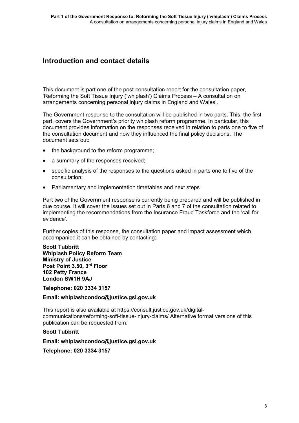### **Introduction and contact details**

This document is part one of the post-consultation report for the consultation paper, 'Reforming the Soft Tissue Injury ('whiplash') Claims Process – A consultation on arrangements concerning personal injury claims in England and Wales'.

The Government response to the consultation will be published in two parts. This, the first part, covers the Government's priority whiplash reform programme. In particular, this document provides information on the responses received in relation to parts one to five of the consultation document and how they influenced the final policy decisions. The document sets out:

- the background to the reform programme;
- a summary of the responses received;
- specific analysis of the responses to the questions asked in parts one to five of the consultation;
- Parliamentary and implementation timetables and next steps.

Part two of the Government response is currently being prepared and will be published in due course. It will cover the issues set out in Parts 6 and 7 of the consultation related to implementing the recommendations from the Insurance Fraud Taskforce and the 'call for evidence'.

Further copies of this response, the consultation paper and impact assessment which accompanied it can be obtained by contacting:

**Scott Tubbritt Whiplash Policy Reform Team Ministry of Justice Post Point 3.50, 3rd Floor 102 Petty France London SW1H 9AJ**

**Telephone: 020 3334 3157**

#### **Email: [whiplashcondoc@justice.gsi.gov.uk](mailto:whiplashcondoc@justice.gsi.gov.uk)**

This report is also available at [https://consult.justice.gov.uk/digital](https://consult.justice.gov.uk/digital-communications/reforming-soft-tissue-injury-claims/)[communications/reforming-soft-tissue-injury-claims/](https://consult.justice.gov.uk/digital-communications/reforming-soft-tissue-injury-claims/) Alternative format versions of this publication can be requested from:

#### **Scott Tubbritt**

**Email: [whiplashcondoc@justice.gsi.gov.uk](mailto:whiplashcondoc@justice.gsi.gov.uk)**

**Telephone: 020 3334 3157**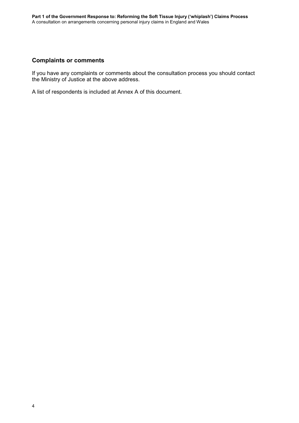### **Complaints or comments**

If you have any complaints or comments about the consultation process you should contact the Ministry of Justice at the above address.

A list of respondents is included at [Annex A](#page-39-0) of this document.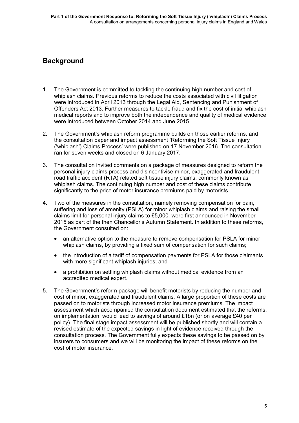# **Background**

- 1. The Government is committed to tackling the continuing high number and cost of whiplash claims. Previous reforms to reduce the costs associated with civil litigation were introduced in April 2013 through the Legal Aid, Sentencing and Punishment of Offenders Act 2013. Further measures to tackle fraud and fix the cost of initial whiplash medical reports and to improve both the independence and quality of medical evidence were introduced between October 2014 and June 2015.
- 2. The Government's whiplash reform programme builds on those earlier reforms, and the consultation paper and impact assessment 'Reforming the Soft Tissue Injury ('whiplash') Claims Process' were published on 17 November 2016. The consultation ran for seven weeks and closed on 6 January 2017.
- 3. The consultation invited comments on a package of measures designed to reform the personal injury claims process and disincentivise minor, exaggerated and fraudulent road traffic accident (RTA) related soft tissue injury claims, commonly known as whiplash claims. The continuing high number and cost of these claims contribute significantly to the price of motor insurance premiums paid by motorists.
- 4. Two of the measures in the consultation, namely removing compensation for pain, suffering and loss of amenity (PSLA) for minor whiplash claims and raising the small claims limit for personal injury claims to £5,000, were first announced in November 2015 as part of the then Chancellor's Autumn Statement. In addition to these reforms, the Government consulted on:
	- an alternative option to the measure to remove compensation for PSLA for minor whiplash claims, by providing a fixed sum of compensation for such claims:
	- the introduction of a tariff of compensation payments for PSLA for those claimants with more significant whiplash injuries; and
	- a prohibition on settling whiplash claims without medical evidence from an accredited medical expert.
- 5. The Government's reform package will benefit motorists by reducing the number and cost of minor, exaggerated and fraudulent claims. A large proportion of these costs are passed on to motorists through increased motor insurance premiums. The impact assessment which accompanied the consultation document estimated that the reforms, on implementation, would lead to savings of around £1bn (or on average £40 per policy). The final stage impact assessment will be published shortly and will contain a revised estimate of the expected savings in light of evidence received through the consultation process. The Government fully expects these savings to be passed on by insurers to consumers and we will be monitoring the impact of these reforms on the cost of motor insurance.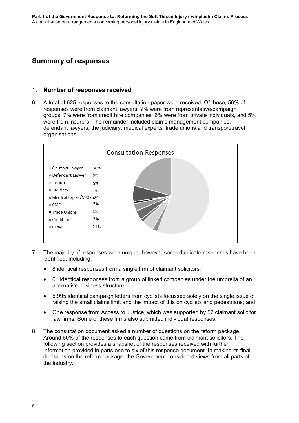### **Summary of responses**

### **1. Number of responses received**

6. A total of 625 responses to the consultation paper were received. Of these, 56% of responses were from claimant lawyers, 7% were from representative/campaign groups, 7% were from credit hire companies, 6% were from private individuals, and 5% were from insurers. The remainder included claims management companies, defendant lawyers, the judiciary, medical experts, trade unions and transport/travel organisations.



- 7. The majority of responses were unique, however some duplicate responses have been identified, including:
	- 8 identical responses from a single firm of claimant solicitors:
	- 61 identical responses from a group of linked companies under the umbrella of an alternative business structure;
	- 5,995 identical campaign letters from cyclists focussed solely on the single issue of raising the small claims limit and the impact of this on cyclists and pedestrians; and
	- One response from Access to Justice, which was supported by 57 claimant solicitor law firms. Some of these firms also submitted individual responses.
- 8. The consultation document asked a number of questions on the reform package. Around 60% of the responses to each question came from claimant solicitors. The following section provides a snapshot of the responses received with further information provided in parts one to six of this response document. In making its final decisions on the reform package, the Government considered views from all parts of the industry.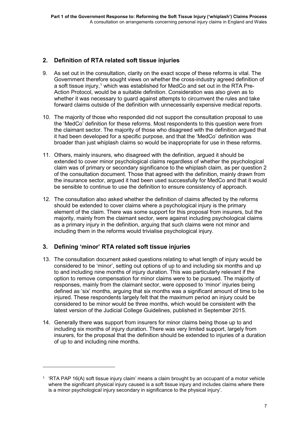### **2. Definition of RTA related soft tissue injuries**

- 9. As set out in the consultation, clarity on the exact scope of these reforms is vital. The Government therefore sought views on whether the cross-industry agreed definition of a soft tissue injury, [1](#page-9-0) which was established for MedCo and set out in the RTA Pre-Action Protocol, would be a suitable definition. Consideration was also given as to whether it was necessary to guard against attempts to circumvent the rules and take forward claims outside of the definition with unnecessarily expensive medical reports.
- 10. The majority of those who responded did not support the consultation proposal to use the 'MedCo' definition for these reforms. Most respondents to this question were from the claimant sector. The majority of those who disagreed with the definition argued that it had been developed for a specific purpose, and that the 'MedCo' definition was broader than just whiplash claims so would be inappropriate for use in these reforms.
- 11. Others, mainly insurers, who disagreed with the definition, argued it should be extended to cover minor psychological claims regardless of whether the psychological claim was of primary or secondary significance to the whiplash claim, as per question 2 of the consultation document. Those that agreed with the definition, mainly drawn from the insurance sector, argued it had been used successfully for MedCo and that it would be sensible to continue to use the definition to ensure consistency of approach.
- 12. The consultation also asked whether the definition of claims affected by the reforms should be extended to cover claims where a psychological injury is the primary element of the claim. There was some support for this proposal from insurers, but the majority, mainly from the claimant sector, were against including psychological claims as a primary injury in the definition, arguing that such claims were not minor and including them in the reforms would trivialise psychological injury.

### **3. Defining 'minor' RTA related soft tissue injuries**

1

- 13. The consultation document asked questions relating to what length of injury would be considered to be 'minor', setting out options of up to and including six months and up to and including nine months of injury duration. This was particularly relevant if the option to remove compensation for minor claims were to be pursued. The majority of responses, mainly from the claimant sector, were opposed to 'minor' injuries being defined as 'six' months, arguing that six months was a significant amount of time to be injured. These respondents largely felt that the maximum period an injury could be considered to be minor would be three months, which would be consistent with the latest version of the Judicial College Guidelines, published in September 2015.
- 14. Generally there was support from insurers for minor claims being those up to and including six months of injury duration. There was very limited support, largely from insurers, for the proposal that the definition should be extended to injuries of a duration of up to and including nine months.

<span id="page-9-0"></span><sup>1</sup> 'RTA PAP 16(A) soft tissue injury claim' means a claim brought by an occupant of a motor vehicle where the significant physical injury caused is a soft tissue injury and includes claims where there is a minor psychological injury secondary in significance to the physical injury'.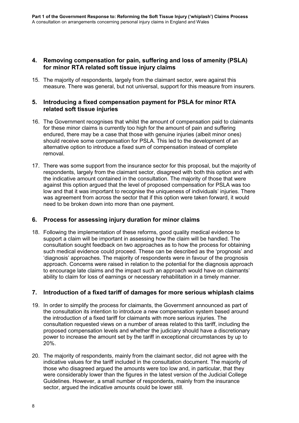### **4. Removing compensation for pain, suffering and loss of amenity (PSLA) for minor RTA related soft tissue injury claims**

15. The majority of respondents, largely from the claimant sector, were against this measure. There was general, but not universal, support for this measure from insurers.

### **5. Introducing a fixed compensation payment for PSLA for minor RTA related soft tissue injuries**

- 16. The Government recognises that whilst the amount of compensation paid to claimants for these minor claims is currently too high for the amount of pain and suffering endured, there may be a case that those with genuine injuries (albeit minor ones) should receive some compensation for PSLA. This led to the development of an alternative option to introduce a fixed sum of compensation instead of complete removal.
- 17. There was some support from the insurance sector for this proposal, but the majority of respondents, largely from the claimant sector, disagreed with both this option and with the indicative amount contained in the consultation. The majority of those that were against this option argued that the level of proposed compensation for PSLA was too low and that it was important to recognise the uniqueness of individuals' injuries. There was agreement from across the sector that if this option were taken forward, it would need to be broken down into more than one payment.

### **6. Process for assessing injury duration for minor claims**

18. Following the implementation of these reforms, good quality medical evidence to support a claim will be important in assessing how the claim will be handled. The consultation sought feedback on two approaches as to how the process for obtaining such medical evidence could proceed. These can be described as the 'prognosis' and 'diagnosis' approaches. The majority of respondents were in favour of the prognosis approach. Concerns were raised in relation to the potential for the diagnosis approach to encourage late claims and the impact such an approach would have on claimants' ability to claim for loss of earnings or necessary rehabilitation in a timely manner.

### **7. Introduction of a fixed tariff of damages for more serious whiplash claims**

- 19. In order to simplify the process for claimants, the Government announced as part of the consultation its intention to introduce a new compensation system based around the introduction of a fixed tariff for claimants with more serious injuries. The consultation requested views on a number of areas related to this tariff, including the proposed compensation levels and whether the judiciary should have a discretionary power to increase the amount set by the tariff in exceptional circumstances by up to 20%.
- 20. The majority of respondents, mainly from the claimant sector, did not agree with the indicative values for the tariff included in the consultation document. The majority of those who disagreed argued the amounts were too low and, in particular, that they were considerably lower than the figures in the latest version of the Judicial College Guidelines. However, a small number of respondents, mainly from the insurance sector, argued the indicative amounts could be lower still.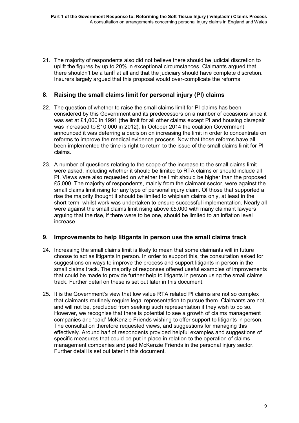21. The majority of respondents also did not believe there should be judicial discretion to uplift the figures by up to 20% in exceptional circumstances. Claimants argued that there shouldn't be a tariff at all and that the judiciary should have complete discretion. Insurers largely argued that this proposal would over-complicate the reforms.

### **8. Raising the small claims limit for personal injury (PI) claims**

- 22. The question of whether to raise the small claims limit for PI claims has been considered by this Government and its predecessors on a number of occasions since it was set at £1,000 in 1991 (the limit for all other claims except PI and housing disrepair was increased to £10,000 in 2012). In October 2014 the coalition Government announced it was deferring a decision on increasing the limit in order to concentrate on reforms to improve the medical evidence process. Now that those reforms have all been implemented the time is right to return to the issue of the small claims limit for PI claims.
- 23. A number of questions relating to the scope of the increase to the small claims limit were asked, including whether it should be limited to RTA claims or should include all PI. Views were also requested on whether the limit should be higher than the proposed £5,000. The majority of respondents, mainly from the claimant sector, were against the small claims limit rising for any type of personal injury claim. Of those that supported a rise the majority thought it should be limited to whiplash claims only, at least in the short-term, whilst work was undertaken to ensure successful implementation. Nearly all were against the small claims limit rising above £5,000 with many claimant lawyers arguing that the rise, if there were to be one, should be limited to an inflation level increase.

### **9. Improvements to help litigants in person use the small claims track**

- 24. Increasing the small claims limit is likely to mean that some claimants will in future choose to act as litigants in person. In order to support this, the consultation asked for suggestions on ways to improve the process and support litigants in person in the small claims track. The majority of responses offered useful examples of improvements that could be made to provide further help to litigants in person using the small claims track. Further detail on these is set out later in this document.
- 25. It is the Government's view that low value RTA related PI claims are not so complex that claimants routinely require legal representation to pursue them. Claimants are not, and will not be, precluded from seeking such representation if they wish to do so. However, we recognise that there is potential to see a growth of claims management companies and 'paid' McKenzie Friends wishing to offer support to litigants in person. The consultation therefore requested views, and suggestions for managing this effectively. Around half of respondents provided helpful examples and suggestions of specific measures that could be put in place in relation to the operation of claims management companies and paid McKenzie Friends in the personal injury sector. Further detail is set out later in this document.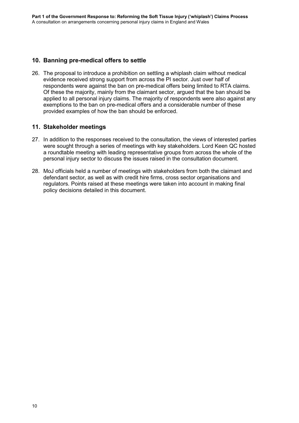### **10. Banning pre-medical offers to settle**

26. The proposal to introduce a prohibition on settling a whiplash claim without medical evidence received strong support from across the PI sector. Just over half of respondents were against the ban on pre-medical offers being limited to RTA claims. Of these the majority, mainly from the claimant sector, argued that the ban should be applied to all personal injury claims. The majority of respondents were also against any exemptions to the ban on pre-medical offers and a considerable number of these provided examples of how the ban should be enforced.

### **11. Stakeholder meetings**

- 27. In addition to the responses received to the consultation, the views of interested parties were sought through a series of meetings with key stakeholders. Lord Keen QC hosted a roundtable meeting with leading representative groups from across the whole of the personal injury sector to discuss the issues raised in the consultation document.
- 28. MoJ officials held a number of meetings with stakeholders from both the claimant and defendant sector, as well as with credit hire firms, cross sector organisations and regulators. Points raised at these meetings were taken into account in making final policy decisions detailed in this document.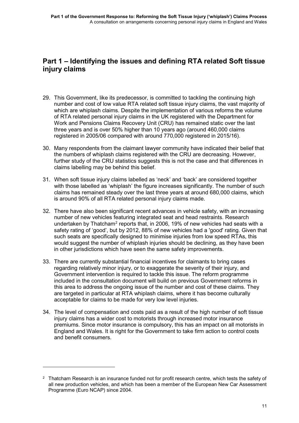### **Part 1 – Identifying the issues and defining RTA related Soft tissue injury claims**

- 29. This Government, like its predecessor, is committed to tackling the continuing high number and cost of low value RTA related soft tissue injury claims, the vast majority of which are whiplash claims. Despite the implementation of various reforms the volume of RTA related personal injury claims in the UK registered with the Department for Work and Pensions Claims Recovery Unit (CRU) has remained static over the last three years and is over 50% higher than 10 years ago (around 460,000 claims registered in 2005/06 compared with around 770,000 registered in 2015/16).
- 30. Many respondents from the claimant lawyer community have indicated their belief that the numbers of whiplash claims registered with the CRU are decreasing. However, further study of the CRU statistics suggests this is not the case and that differences in claims labelling may be behind this belief.
- 31. When soft tissue injury claims labelled as 'neck' and 'back' are considered together with those labelled as 'whiplash' the figure increases significantly. The number of such claims has remained steady over the last three years at around 680,000 claims, which is around 90% of all RTA related personal injury claims made.
- 32. There have also been significant recent advances in vehicle safety, with an increasing number of new vehicles featuring integrated seat and head restraints. Research undertaken by Thatcham<sup>[2](#page-13-0)</sup> reports that, in 2006, 19% of new vehicles had seats with a safety rating of 'good', but by 2012, 88% of new vehicles had a 'good' rating. Given that such seats are specifically designed to minimise injuries from low speed RTAs, this would suggest the number of whiplash injuries should be declining, as they have been in other jurisdictions which have seen the same safety improvements.
- 33. There are currently substantial financial incentives for claimants to bring cases regarding relatively minor injury, or to exaggerate the severity of their injury, and Government intervention is required to tackle this issue. The reform programme included in the consultation document will build on previous Government reforms in this area to address the ongoing issue of the number and cost of these claims. They are targeted in particular at RTA whiplash claims, where it has become culturally acceptable for claims to be made for very low level injuries.
- 34. The level of compensation and costs paid as a result of the high number of soft tissue injury claims has a wider cost to motorists through increased motor insurance premiums. Since motor insurance is compulsory, this has an impact on all motorists in England and Wales. It is right for the Government to take firm action to control costs and benefit consumers.

1

<span id="page-13-0"></span><sup>&</sup>lt;sup>2</sup> Thatcham Research is an insurance funded not for profit research centre, which tests the safety of all new production vehicles, and which has been a member of the European New Car Assessment Programme (Euro NCAP) since 2004.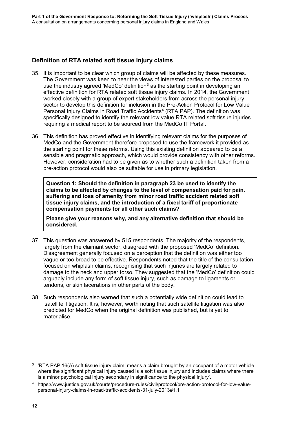### **Definition of RTA related soft tissue injury claims**

- 35. It is important to be clear which group of claims will be affected by these measures. The Government was keen to hear the views of interested parties on the proposal to use the industry agreed 'MedCo' definition<sup>[3](#page-14-0)</sup> as the starting point in developing an effective definition for RTA related soft tissue injury claims. In 2014, the Government worked closely with a group of expert stakeholders from across the personal injury sector to develop this definition for inclusion in the Pre-Action Protocol for Low Value Personal Injury Claims in Road Traffic Accidents<sup>[4](#page-14-1)</sup> (RTA PAP). The definition was specifically designed to identify the relevant low value RTA related soft tissue injuries requiring a medical report to be sourced from the MedCo IT Portal.
- 36. This definition has proved effective in identifying relevant claims for the purposes of MedCo and the Government therefore proposed to use the framework it provided as the starting point for these reforms. Using this existing definition appeared to be a sensible and pragmatic approach, which would provide consistency with other reforms. However, consideration had to be given as to whether such a definition taken from a pre-action protocol would also be suitable for use in primary legislation.

**Question 1: Should the definition in paragraph 23 be used to identify the claims to be affected by changes to the level of compensation paid for pain, suffering and loss of amenity from minor road traffic accident related soft tissue injury claims, and the introduction of a fixed tariff of proportionate compensation payments for all other such claims?** 

**Please give your reasons why, and any alternative definition that should be considered.**

- 37. This question was answered by 515 respondents. The majority of the respondents, largely from the claimant sector, disagreed with the proposed 'MedCo' definition. Disagreement generally focused on a perception that the definition was either too vague or too broad to be effective. Respondents noted that the title of the consultation focused on whiplash claims, recognising that such injuries are largely related to damage to the neck and upper torso. They suggested that the 'MedCo' definition could arguably include any form of soft tissue injury, such as damage to ligaments or tendons, or skin lacerations in other parts of the body.
- 38. Such respondents also warned that such a potentially wide definition could lead to 'satellite' litigation. It is, however, worth noting that such satellite litigation was also predicted for MedCo when the original definition was published, but is yet to materialise.

-

<span id="page-14-0"></span> $3$  'RTA PAP 16(A) soft tissue injury claim' means a claim brought by an occupant of a motor vehicle where the significant physical injury caused is a soft tissue injury and includes claims where there is a minor psychological injury secondary in significance to the physical injury'.

<span id="page-14-1"></span><sup>4</sup> [https://www.justice.gov.uk/courts/procedure-rules/civil/protocol/pre-action-protocol-for-low-value](https://www.justice.gov.uk/courts/procedure-rules/civil/protocol/pre-action-protocol-for-low-value-personal-injury-claims-in-road-traffic-accidents-31-july-2013%231.1)[personal-injury-claims-in-road-traffic-accidents-31-july-2013#1.1](https://www.justice.gov.uk/courts/procedure-rules/civil/protocol/pre-action-protocol-for-low-value-personal-injury-claims-in-road-traffic-accidents-31-july-2013%231.1)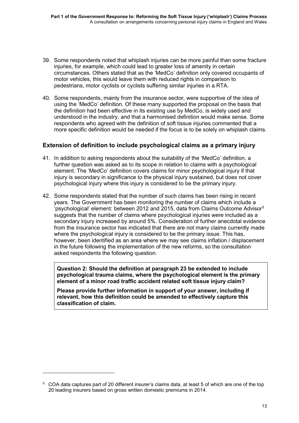- 39. Some respondents noted that whiplash injuries can be more painful than some fracture injuries, for example, which could lead to greater loss of amenity in certain circumstances. Others stated that as the 'MedCo' definition only covered occupants of motor vehicles, this would leave them with reduced rights in comparison to pedestrians, motor cyclists or cyclists suffering similar injuries in a RTA.
- 40. Some respondents, mainly from the insurance sector, were supportive of the idea of using the 'MedCo' definition. Of these many supported the proposal on the basis that the definition had been effective in its existing use by MedCo, is widely used and understood in the industry, and that a harmonised definition would make sense. Some respondents who agreed with the definition of soft tissue injuries commented that a more specific definition would be needed if the focus is to be solely on whiplash claims.

### **Extension of definition to include psychological claims as a primary injury**

- 41. In addition to asking respondents about the suitability of the 'MedCo' definition, a further question was asked as to its scope in relation to claims with a psychological element. The 'MedCo' definition covers claims for minor psychological injury if that injury is secondary in significance to the physical injury sustained, but does not cover psychological injury where this injury is considered to be the primary injury.
- 42. Some respondents stated that the number of such claims has been rising in recent years. The Government has been monitoring the number of claims which include a 'psychological' element: between 2012 and 201[5](#page-15-0), data from Claims Outcome Advisor<sup>5</sup> suggests that the number of claims where psychological injuries were included as a secondary injury increased by around 5%. Consideration of further anecdotal evidence from the insurance sector has indicated that there are not many claims currently made where the psychological injury is considered to be the primary issue. This has, however, been identified as an area where we may see claims inflation / displacement in the future following the implementation of the new reforms, so the consultation asked respondents the following question.

**Question 2: Should the definition at paragraph 23 be extended to include psychological trauma claims, where the psychological element is the primary element of a minor road traffic accident related soft tissue injury claim?**

**Please provide further information in support of your answer, including if relevant, how this definition could be amended to effectively capture this classification of claim.**

-

<span id="page-15-0"></span><sup>5</sup> COA data captures part of 20 different insurer's claims data, at least 5 of which are one of the top 20 leading insurers based on gross written domestic premiums in 2014.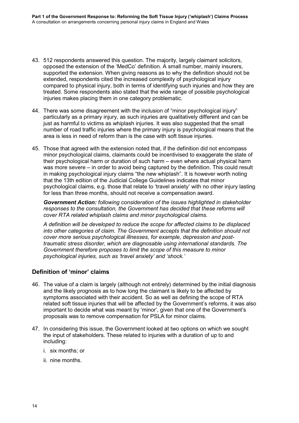- 43. 512 respondents answered this question. The majority, largely claimant solicitors, opposed the extension of the 'MedCo' definition. A small number, mainly insurers, supported the extension. When giving reasons as to why the definition should not be extended, respondents cited the increased complexity of psychological injury compared to physical injury, both in terms of identifying such injuries and how they are treated. Some respondents also stated that the wide range of possible psychological injuries makes placing them in one category problematic.
- 44. There was some disagreement with the inclusion of "minor psychological injury" particularly as a primary injury, as such injuries are qualitatively different and can be just as harmful to victims as whiplash injuries. It was also suggested that the small number of road traffic injuries where the primary injury is psychological means that the area is less in need of reform than is the case with soft tissue injuries.
- 45. Those that agreed with the extension noted that, if the definition did not encompass minor psychological claims, claimants could be incentivised to exaggerate the state of their psychological harm or duration of such harm – even where actual physical harm was more severe – in order to avoid being captured by the definition. This could result in making psychological injury claims "the new whiplash". It is however worth noting that the 13th edition of the Judicial College Guidelines indicates that minor psychological claims, e.g. those that relate to 'travel anxiety' with no other injury lasting for less than three months, should not receive a compensation award.

*Government Action: following consideration of the issues highlighted in stakeholder responses to the consultation, the Government has decided that these reforms will cover RTA related whiplash claims and minor psychological claims.* 

*A definition will be developed to reduce the scope for affected claims to be displaced into other categories of claim. The Government accepts that the definition should not cover more serious psychological illnesses, for example, depression and posttraumatic stress disorder, which are diagnosable using international standards. The Government therefore proposes to limit the scope of this measure to minor psychological injuries, such as 'travel anxiety' and 'shock.'*

### **Definition of 'minor' claims**

- 46. The value of a claim is largely (although not entirely) determined by the initial diagnosis and the likely prognosis as to how long the claimant is likely to be affected by symptoms associated with their accident. So as well as defining the scope of RTA related soft tissue injuries that will be affected by the Government's reforms, it was also important to decide what was meant by 'minor', given that one of the Government's proposals was to remove compensation for PSLA for minor claims.
- 47. In considering this issue, the Government looked at two options on which we sought the input of stakeholders. These related to injuries with a duration of up to and including:
	- i. six months; or
	- ii. nine months.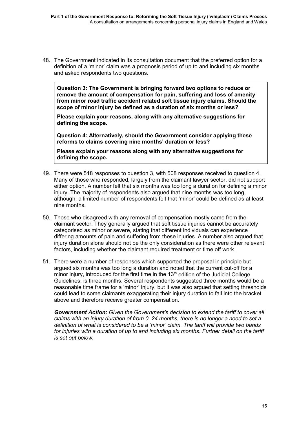48. The Government indicated in its consultation document that the preferred option for a definition of a 'minor' claim was a prognosis period of up to and including six months and asked respondents two questions.

**Question 3: The Government is bringing forward two options to reduce or remove the amount of compensation for pain, suffering and loss of amenity from minor road traffic accident related soft tissue injury claims. Should the scope of minor injury be defined as a duration of six months or less?** 

**Please explain your reasons, along with any alternative suggestions for defining the scope.**

**Question 4: Alternatively, should the Government consider applying these reforms to claims covering nine months' duration or less?** 

**Please explain your reasons along with any alternative suggestions for defining the scope.**

- 49. There were 518 responses to question 3, with 508 responses received to question 4. Many of those who responded, largely from the claimant lawyer sector, did not support either option. A number felt that six months was too long a duration for defining a minor injury. The majority of respondents also argued that nine months was too long, although, a limited number of respondents felt that 'minor' could be defined as at least nine months.
- 50. Those who disagreed with any removal of compensation mostly came from the claimant sector. They generally argued that soft tissue injuries cannot be accurately categorised as minor or severe, stating that different individuals can experience differing amounts of pain and suffering from these injuries. A number also argued that injury duration alone should not be the only consideration as there were other relevant factors, including whether the claimant required treatment or time off work.
- 51. There were a number of responses which supported the proposal in principle but argued six months was too long a duration and noted that the current cut-off for a minor injury, introduced for the first time in the  $13<sup>th</sup>$  edition of the Judicial College Guidelines, is three months. Several respondents suggested three months would be a reasonable time frame for a 'minor' injury, but it was also argued that setting thresholds could lead to some claimants exaggerating their injury duration to fall into the bracket above and therefore receive greater compensation.

*Government Action: Given the Government's decision to extend the tariff to cover all claims with an injury duration of from 0–24 months, there is no longer a need to set a definition of what is considered to be a 'minor' claim. The tariff will provide two bands for injuries with a duration of up to and including six months. Further detail on the tariff is set out below.*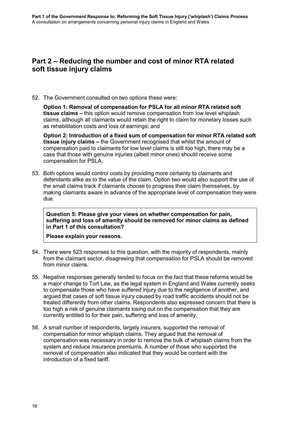### **Part 2 – Reducing the number and cost of minor RTA related soft tissue injury claims**

52. The Government consulted on two options these were:

**Option 1: Removal of compensation for PSLA for all minor RTA related soft tissue claims –** this option would remove compensation from low level whiplash claims, although all claimants would retain the right to claim for monetary losses such as rehabilitation costs and loss of earnings; and

**Option 2: Introduction of a fixed sum of compensation for minor RTA related soft tissue injury claims –** the Government recognised that whilst the amount of compensation paid to claimants for low level claims is still too high, there may be a case that those with genuine injuries (albeit minor ones) should receive some compensation for PSLA.

53. Both options would control costs by providing more certainty to claimants and defendants alike as to the value of the claim. Option two would also support the use of the small claims track if claimants choose to progress their claim themselves, by making claimants aware in advance of the appropriate level of compensation they were due.

**Question 5: Please give your views on whether compensation for pain, suffering and loss of amenity should be removed for minor claims as defined in Part 1 of this consultation?** 

**Please explain your reasons.**

- 54. There were 523 responses to this question, with the majority of respondents, mainly from the claimant sector, disagreeing that compensation for PSLA should be removed from minor claims.
- 55. Negative responses generally tended to focus on the fact that these reforms would be a major change to Tort Law, as the legal system in England and Wales currently seeks to compensate those who have suffered injury due to the negligence of another, and argued that cases of soft tissue injury caused by road traffic accidents should not be treated differently from other claims. Respondents also expressed concern that there is too high a risk of genuine claimants losing out on the compensation that they are currently entitled to for their pain, suffering and loss of amenity.
- 56. A small number of respondents, largely insurers, supported the removal of compensation for minor whiplash claims. They argued that the removal of compensation was necessary in order to remove the bulk of whiplash claims from the system and reduce insurance premiums. A number of those who supported the removal of compensation also indicated that they would be content with the introduction of a fixed tariff.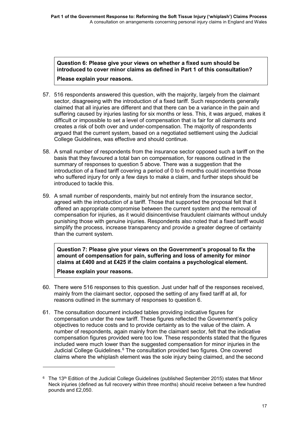**Question 6: Please give your views on whether a fixed sum should be introduced to cover minor claims as defined in Part 1 of this consultation? Please explain your reasons.**

- 57. 516 respondents answered this question, with the majority, largely from the claimant sector, disagreeing with the introduction of a fixed tariff. Such respondents generally claimed that all injuries are different and that there can be a variance in the pain and suffering caused by injuries lasting for six months or less. This, it was argued, makes it difficult or impossible to set a level of compensation that is fair for all claimants and creates a risk of both over and under-compensation. The majority of respondents argued that the current system, based on a negotiated settlement using the Judicial College Guidelines, was effective and should continue.
- 58. A small number of respondents from the insurance sector opposed such a tariff on the basis that they favoured a total ban on compensation, for reasons outlined in the summary of responses to question 5 above. There was a suggestion that the introduction of a fixed tariff covering a period of 0 to 6 months could incentivise those who suffered injury for only a few days to make a claim, and further steps should be introduced to tackle this.
- 59. A small number of respondents, mainly but not entirely from the insurance sector, agreed with the introduction of a tariff. Those that supported the proposal felt that it offered an appropriate compromise between the current system and the removal of compensation for injuries, as it would disincentivise fraudulent claimants without unduly punishing those with genuine injuries. Respondents also noted that a fixed tariff would simplify the process, increase transparency and provide a greater degree of certainty than the current system.

**Question 7: Please give your views on the Government's proposal to fix the amount of compensation for pain, suffering and loss of amenity for minor claims at £400 and at £425 if the claim contains a psychological element.** 

**Please explain your reasons.**

1

- 60. There were 516 responses to this question. Just under half of the responses received, mainly from the claimant sector, opposed the setting of any fixed tariff at all, for reasons outlined in the summary of responses to question 6.
- 61. The consultation document included tables providing indicative figures for compensation under the new tariff. These figures reflected the Government's policy objectives to reduce costs and to provide certainty as to the value of the claim. A number of respondents, again mainly from the claimant sector, felt that the indicative compensation figures provided were too low. These respondents stated that the figures included were much lower than the suggested compensation for minor injuries in the Judicial College Guidelines.<sup>[6](#page-19-0)</sup> The consultation provided two figures. One covered claims where the whiplash element was the sole injury being claimed, and the second

<span id="page-19-0"></span><sup>&</sup>lt;sup>6</sup> The 13<sup>th</sup> Edition of the Judicial College Guidelines (published September 2015) states that Minor Neck injuries (defined as full recovery within three months) should receive between a few hundred pounds and £2,050.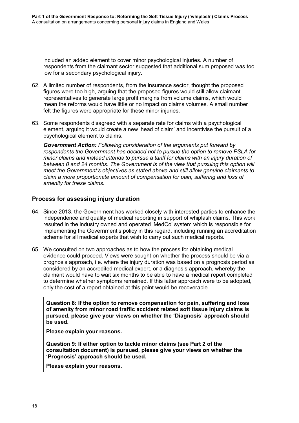included an added element to cover minor psychological injuries. A number of respondents from the claimant sector suggested that additional sum proposed was too low for a secondary psychological injury.

- 62. A limited number of respondents, from the insurance sector, thought the proposed figures were too high, arguing that the proposed figures would still allow claimant representatives to generate large profit margins from volume claims, which would mean the reforms would have little or no impact on claims volumes. A small number felt the figures were appropriate for these minor injuries.
- 63. Some respondents disagreed with a separate rate for claims with a psychological element, arguing it would create a new 'head of claim' and incentivise the pursuit of a psychological element to claims.

*Government Action: Following consideration of the arguments put forward by respondents the Government has decided not to pursue the option to remove PSLA for minor claims and instead intends to pursue a tariff for claims with an injury duration of between 0 and 24 months. The Government is of the view that pursuing this option will meet the Government's objectives as stated above and still allow genuine claimants to claim a more proportionate amount of compensation for pain, suffering and loss of amenity for these claims.*

### **Process for assessing injury duration**

- 64. Since 2013, the Government has worked closely with interested parties to enhance the independence and quality of medical reporting in support of whiplash claims. This work resulted in the industry owned and operated 'MedCo' system which is responsible for implementing the Government's policy in this regard, including running an accreditation scheme for all medical experts that wish to carry out such medical reports.
- 65. We consulted on two approaches as to how the process for obtaining medical evidence could proceed. Views were sought on whether the process should be via a prognosis approach, i.e. where the injury duration was based on a prognosis period as considered by an accredited medical expert, or a diagnosis approach, whereby the claimant would have to wait six months to be able to have a medical report completed to determine whether symptoms remained. If this latter approach were to be adopted, only the cost of a report obtained at this point would be recoverable.

**Question 8: If the option to remove compensation for pain, suffering and loss of amenity from minor road traffic accident related soft tissue injury claims is pursued, please give your views on whether the 'Diagnosis' approach should be used.**

**Please explain your reasons.**

**Question 9: If either option to tackle minor claims (see Part 2 of the consultation document) is pursued, please give your views on whether the 'Prognosis' approach should be used.**

**Please explain your reasons.**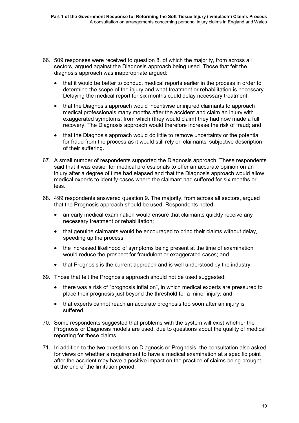- 66. 509 responses were received to question 8, of which the majority, from across all sectors, argued against the Diagnosis approach being used. Those that felt the diagnosis approach was inappropriate argued:
	- that it would be better to conduct medical reports earlier in the process in order to determine the scope of the injury and what treatment or rehabilitation is necessary. Delaying the medical report for six months could delay necessary treatment;
	- that the Diagnosis approach would incentivise uninjured claimants to approach medical professionals many months after the accident and claim an injury with exaggerated symptoms, from which (they would claim) they had now made a full recovery. The Diagnosis approach would therefore increase the risk of fraud; and
	- that the Diagnosis approach would do little to remove uncertainty or the potential for fraud from the process as it would still rely on claimants' subjective description of their suffering.
- 67. A small number of respondents supported the Diagnosis approach. These respondents said that it was easier for medical professionals to offer an accurate opinion on an injury after a degree of time had elapsed and that the Diagnosis approach would allow medical experts to identify cases where the claimant had suffered for six months or less.
- 68. 499 respondents answered question 9. The majority, from across all sectors, argued that the Prognosis approach should be used. Respondents noted:
	- an early medical examination would ensure that claimants quickly receive any necessary treatment or rehabilitation;
	- that genuine claimants would be encouraged to bring their claims without delay, speeding up the process;
	- the increased likelihood of symptoms being present at the time of examination would reduce the prospect for fraudulent or exaggerated cases; and
	- that Prognosis is the current approach and is well understood by the industry.
- 69. Those that felt the Prognosis approach should not be used suggested:
	- there was a risk of "prognosis inflation", in which medical experts are pressured to place their prognosis just beyond the threshold for a minor injury; and
	- that experts cannot reach an accurate prognosis too soon after an injury is suffered.
- 70. Some respondents suggested that problems with the system will exist whether the Prognosis or Diagnosis models are used, due to questions about the quality of medical reporting for these claims.
- 71. In addition to the two questions on Diagnosis or Prognosis, the consultation also asked for views on whether a requirement to have a medical examination at a specific point after the accident may have a positive impact on the practice of claims being brought at the end of the limitation period.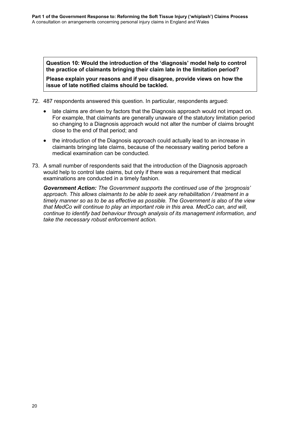**Question 10: Would the introduction of the 'diagnosis' model help to control the practice of claimants bringing their claim late in the limitation period?**

**Please explain your reasons and if you disagree, provide views on how the issue of late notified claims should be tackled.**

- 72. 487 respondents answered this question. In particular, respondents argued:
	- late claims are driven by factors that the Diagnosis approach would not impact on. For example, that claimants are generally unaware of the statutory limitation period so changing to a Diagnosis approach would not alter the number of claims brought close to the end of that period; and
	- the introduction of the Diagnosis approach could actually lead to an increase in claimants bringing late claims, because of the necessary waiting period before a medical examination can be conducted.
- 73. A small number of respondents said that the introduction of the Diagnosis approach would help to control late claims, but only if there was a requirement that medical examinations are conducted in a timely fashion.

*Government Action: The Government supports the continued use of the 'prognosis' approach. This allows claimants to be able to seek any rehabilitation / treatment in a timely manner so as to be as effective as possible. The Government is also of the view that MedCo will continue to play an important role in this area. MedCo can, and will, continue to identify bad behaviour through analysis of its management information, and take the necessary robust enforcement action.*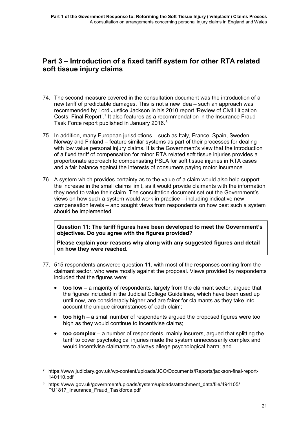### **Part 3 – Introduction of a fixed tariff system for other RTA related soft tissue injury claims**

- 74. The second measure covered in the consultation document was the introduction of a new tariff of predictable damages. This is not a new idea – such an approach was recommended by Lord Justice Jackson in his 2010 report 'Review of Civil Litigation Costs: Final Report'.<sup>[7](#page-23-0)</sup> It also features as a recommendation in the Insurance Fraud Task Force report published in January 2016.<sup>[8](#page-23-1)</sup>
- 75. In addition, many European jurisdictions such as Italy, France, Spain, Sweden, Norway and Finland – feature similar systems as part of their processes for dealing with low value personal injury claims. It is the Government's view that the introduction of a fixed tariff of compensation for minor RTA related soft tissue injuries provides a proportionate approach to compensating PSLA for soft tissue injuries in RTA cases and a fair balance against the interests of consumers paying motor insurance.
- 76. A system which provides certainty as to the value of a claim would also help support the increase in the small claims limit, as it would provide claimants with the information they need to value their claim. The consultation document set out the Government's views on how such a system would work in practice – including indicative new compensation levels – and sought views from respondents on how best such a system should be implemented.

**Question 11: The tariff figures have been developed to meet the Government's objectives. Do you agree with the figures provided?** 

**Please explain your reasons why along with any suggested figures and detail on how they were reached.**

- 77. 515 respondents answered question 11, with most of the responses coming from the claimant sector, who were mostly against the proposal. Views provided by respondents included that the figures were:
	- **too low** a majority of respondents, largely from the claimant sector, argued that the figures included in the Judicial College Guidelines, which have been used up until now, are considerably higher and are fairer for claimants as they take into account the unique circumstances of each claim;
	- **too high** a small number of respondents argued the proposed figures were too high as they would continue to incentivise claims;
	- **too complex**  a number of respondents, mainly insurers, argued that splitting the tariff to cover psychological injuries made the system unnecessarily complex and would incentivise claimants to always allege psychological harm; and

-

<span id="page-23-0"></span><sup>7</sup> [https://www.judiciary.gov.uk/wp-content/uploads/JCO/Documents/Reports/jackson-final-report-](https://www.judiciary.gov.uk/wp-content/uploads/JCO/Documents/Reports/jackson-final-report-140110.pdf)[140110.pdf](https://www.judiciary.gov.uk/wp-content/uploads/JCO/Documents/Reports/jackson-final-report-140110.pdf)

<span id="page-23-1"></span><sup>8</sup> [https://www.gov.uk/government/uploads/system/uploads/attachment\\_data/file/494105/](https://www.gov.uk/government/uploads/system/uploads/attachment_data/file/494105/%0bPU1817_Insurance_Fraud_Taskforce.pdf) [PU1817\\_Insurance\\_Fraud\\_Taskforce.pdf](https://www.gov.uk/government/uploads/system/uploads/attachment_data/file/494105/%0bPU1817_Insurance_Fraud_Taskforce.pdf)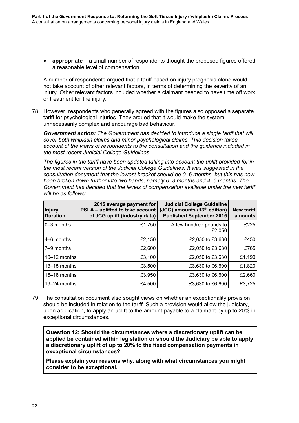• **appropriate** – a small number of respondents thought the proposed figures offered a reasonable level of compensation.

A number of respondents argued that a tariff based on injury prognosis alone would not take account of other relevant factors, in terms of determining the severity of an injury. Other relevant factors included whether a claimant needed to have time off work or treatment for the injury.

78. However, respondents who generally agreed with the figures also opposed a separate tariff for psychological injuries. They argued that it would make the system unnecessarily complex and encourage bad behaviour.

*Government action: The Government has decided to introduce a single tariff that will cover both whiplash claims and minor psychological claims. This decision takes account of the views of respondents to the consultation and the guidance included in the most recent Judicial College Guidelines.*

*The figures in the tariff have been updated taking into account the uplift provided for in the most recent version of the Judicial College Guidelines. It was suggested in the consultation document that the lowest bracket should be 0–6 months, but this has now been broken down further into two bands, namely 0–3 months and 4–6 months. The Government has decided that the levels of compensation available under the new tariff will be as follows:* 

| <b>Injury</b><br><b>Duration</b> | 2015 average payment for<br>PSLA - uplifted to take account<br>of JCG uplift (industry data) | <b>Judicial College Guideline</b><br>(JCG) amounts (13 <sup>th</sup> edition)<br><b>Published September 2015</b> | <b>New tariff</b><br>amounts |
|----------------------------------|----------------------------------------------------------------------------------------------|------------------------------------------------------------------------------------------------------------------|------------------------------|
| 0-3 months                       | £1,750                                                                                       | A few hundred pounds to<br>£2,050                                                                                | £225                         |
| 4–6 months                       | £2,150                                                                                       | £2,050 to £3,630                                                                                                 | £450                         |
| 7-9 months                       | £2,600                                                                                       | £2,050 to £3,630                                                                                                 | £765                         |
| $10-12$ months                   | £3,100                                                                                       | £2,050 to £3,630                                                                                                 | £1,190                       |
| $13-15$ months                   | £3,500                                                                                       | £3,630 to £6,600                                                                                                 | £1,820                       |
| $16 - 18$ months                 | £3,950                                                                                       | £3,630 to £6,600                                                                                                 | £2,660                       |
| 19–24 months                     | £4,500                                                                                       | £3,630 to £6,600                                                                                                 | £3,725                       |

79. The consultation document also sought views on whether an exceptionality provision should be included in relation to the tariff. Such a provision would allow the judiciary, upon application, to apply an uplift to the amount payable to a claimant by up to 20% in exceptional circumstances.

**Question 12: Should the circumstances where a discretionary uplift can be applied be contained within legislation or should the Judiciary be able to apply a discretionary uplift of up to 20% to the fixed compensation payments in exceptional circumstances?** 

**Please explain your reasons why, along with what circumstances you might consider to be exceptional.**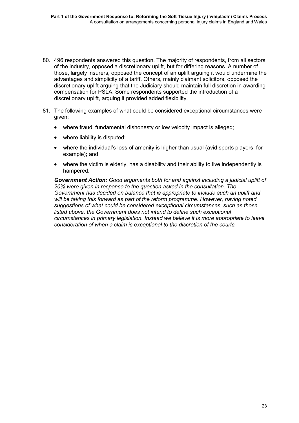- 80. 496 respondents answered this question. The majority of respondents, from all sectors of the industry, opposed a discretionary uplift, but for differing reasons. A number of those, largely insurers, opposed the concept of an uplift arguing it would undermine the advantages and simplicity of a tariff. Others, mainly claimant solicitors, opposed the discretionary uplift arguing that the Judiciary should maintain full discretion in awarding compensation for PSLA. Some respondents supported the introduction of a discretionary uplift, arguing it provided added flexibility.
- 81. The following examples of what could be considered exceptional circumstances were given:
	- where fraud, fundamental dishonesty or low velocity impact is alleged;
	- where liability is disputed;
	- where the individual's loss of amenity is higher than usual (avid sports players, for example); and
	- where the victim is elderly, has a disability and their ability to live independently is hampered.

*Government Action: Good arguments both for and against including a judicial uplift of 20% were given in response to the question asked in the consultation. The Government has decided on balance that is appropriate to include such an uplift and will be taking this forward as part of the reform programme. However, having noted suggestions of what could be considered exceptional circumstances, such as those listed above, the Government does not intend to define such exceptional circumstances in primary legislation. Instead we believe it is more appropriate to leave consideration of when a claim is exceptional to the discretion of the courts.*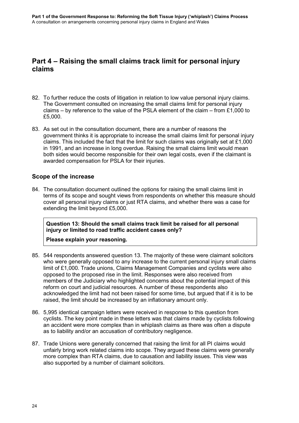### **Part 4 – Raising the small claims track limit for personal injury claims**

- 82. To further reduce the costs of litigation in relation to low value personal injury claims. The Government consulted on increasing the small claims limit for personal injury claims – by reference to the value of the PSLA element of the claim – from £1,000 to £5,000.
- 83. As set out in the consultation document, there are a number of reasons the government thinks it is appropriate to increase the small claims limit for personal injury claims. This included the fact that the limit for such claims was originally set at £1,000 in 1991, and an increase in long overdue. Raising the small claims limit would mean both sides would become responsible for their own legal costs, even if the claimant is awarded compensation for PSLA for their injuries.

### **Scope of the increase**

84. The consultation document outlined the options for raising the small claims limit in terms of its scope and sought views from respondents on whether this measure should cover all personal injury claims or just RTA claims, and whether there was a case for extending the limit beyond £5,000.

**Question 13: Should the small claims track limit be raised for all personal injury or limited to road traffic accident cases only?** 

#### **Please explain your reasoning.**

- 85. 544 respondents answered question 13. The majority of these were claimant solicitors who were generally opposed to any increase to the current personal injury small claims limit of £1,000. Trade unions, Claims Management Companies and cyclists were also opposed to the proposed rise in the limit. Responses were also received from members of the Judiciary who highlighted concerns about the potential impact of this reform on court and judicial resources. A number of these respondents also acknowledged the limit had not been raised for some time, but argued that if it is to be raised, the limit should be increased by an inflationary amount only.
- 86. 5,995 identical campaign letters were received in response to this question from cyclists. The key point made in these letters was that claims made by cyclists following an accident were more complex than in whiplash claims as there was often a dispute as to liability and/or an accusation of contributory negligence.
- 87. Trade Unions were generally concerned that raising the limit for all PI claims would unfairly bring work related claims into scope. They argued these claims were generally more complex than RTA claims, due to causation and liability issues. This view was also supported by a number of claimant solicitors.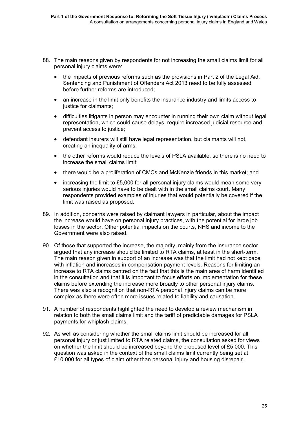- 88. The main reasons given by respondents for not increasing the small claims limit for all personal injury claims were:
	- the impacts of previous reforms such as the provisions in Part 2 of the Legal Aid, Sentencing and Punishment of Offenders Act 2013 need to be fully assessed before further reforms are introduced;
	- an increase in the limit only benefits the insurance industry and limits access to justice for claimants;
	- difficulties litigants in person may encounter in running their own claim without legal representation, which could cause delays, require increased judicial resource and prevent access to justice;
	- defendant insurers will still have legal representation, but claimants will not, creating an inequality of arms;
	- the other reforms would reduce the levels of PSLA available, so there is no need to increase the small claims limit;
	- there would be a proliferation of CMCs and McKenzie friends in this market; and
	- increasing the limit to £5,000 for all personal injury claims would mean some very serious injuries would have to be dealt with in the small claims court. Many respondents provided examples of injuries that would potentially be covered if the limit was raised as proposed.
- 89. In addition, concerns were raised by claimant lawyers in particular, about the impact the increase would have on personal injury practices, with the potential for large job losses in the sector. Other potential impacts on the courts, NHS and income to the Government were also raised.
- 90. Of those that supported the increase, the majority, mainly from the insurance sector, argued that any increase should be limited to RTA claims, at least in the short-term. The main reason given in support of an increase was that the limit had not kept pace with inflation and increases in compensation payment levels. Reasons for limiting an increase to RTA claims centred on the fact that this is the main area of harm identified in the consultation and that it is important to focus efforts on implementation for these claims before extending the increase more broadly to other personal injury claims. There was also a recognition that non-RTA personal injury claims can be more complex as there were often more issues related to liability and causation.
- 91. A number of respondents highlighted the need to develop a review mechanism in relation to both the small claims limit and the tariff of predictable damages for PSLA payments for whiplash claims.
- 92. As well as considering whether the small claims limit should be increased for all personal injury or just limited to RTA related claims, the consultation asked for views on whether the limit should be increased beyond the proposed level of £5,000. This question was asked in the context of the small claims limit currently being set at £10,000 for all types of claim other than personal injury and housing disrepair.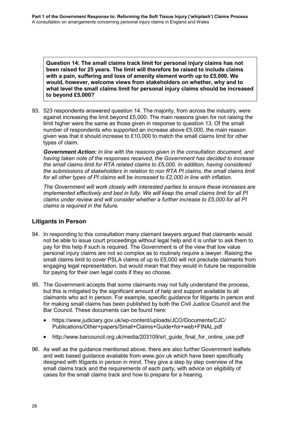**Question 14: The small claims track limit for personal injury claims has not been raised for 25 years. The limit will therefore be raised to include claims with a pain, suffering and loss of amenity element worth up to £5,000. We would, however, welcome views from stakeholders on whether, why and to what level the small claims limit for personal injury claims should be increased to beyond £5,000?**

93. 523 respondents answered question 14. The majority, from across the industry, were against increasing the limit beyond £5,000. The main reasons given for not raising the limit higher were the same as those given in response to question 13. Of the small number of respondents who supported an increase above £5,000, the main reason given was that it should increase to £10,000 to match the small claims limit for other types of claim.

*Government Action: In line with the reasons given in the consultation document, and having taken note of the responses received, the Government has decided to increase the small claims limit for RTA related claims to £5,000. In addition, having considered the submissions of stakeholders in relation to non RTA PI claims, the small claims limit for all other types of PI claims will be increased to £2,000 in line with inflation.* 

*The Government will work closely with interested parties to ensure these increases are implemented effectively and bed in fully. We will keep the small claims limit for all PI claims under review and will consider whether a further increase to £5,000 for all PI claims is required in the future.*

### **Litigants in Person**

- 94. In responding to this consultation many claimant lawyers argued that claimants would not be able to issue court proceedings without legal help and it is unfair to ask them to pay for this help if such is required. The Government is of the view that low value personal injury claims are not so complex as to routinely require a lawyer. Raising the small claims limit to cover PSLA claims of up to £5,000 will not preclude claimants from engaging legal representation, but would mean that they would in future be responsible for paying for their own legal costs if they so choose.
- 95. The Government accepts that some claimants may not fully understand the process, but this is mitigated by the significant amount of help and support available to all claimants who act in person. For example, specific guidance for litigants in person and for making small claims has been published by both the Civil Justice Council and the Bar Council. These documents can be found here:
	- [https://www.judiciary.gov.uk/wp-content/uploads/JCO/Documents/CJC/](https://www.judiciary.gov.uk/wp-content/uploads/JCO/Documents/CJC/%0bPublications/Other+papers/Small+Claims+Guide+for+web+FINAL.pdf) [Publications/Other+papers/Small+Claims+Guide+for+web+FINAL.pdf](https://www.judiciary.gov.uk/wp-content/uploads/JCO/Documents/CJC/%0bPublications/Other+papers/Small+Claims+Guide+for+web+FINAL.pdf)
	- [http://www.barcouncil.org.uk/media/203109/srl\\_guide\\_final\\_for\\_online\\_use.pdf](http://www.barcouncil.org.uk/media/203109/srl_guide_final_for_online_use.pdf)
- 96. As well as the guidance mentioned above, there are also further Government leaflets and web based guidance available from [www.gov.uk](http://www.gov.uk/) which have been specifically designed with litigants in person in mind. They give a step by step overview of the small claims track and the requirements of each party, with advice on eligibility of cases for the small claims track and how to prepare for a hearing.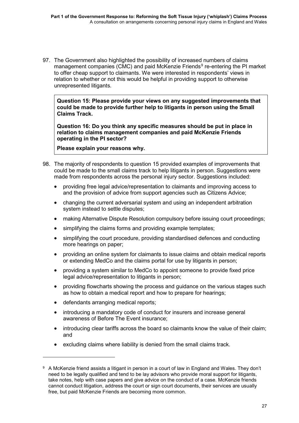97. The Government also highlighted the possibility of increased numbers of claims management companies (CMC) and paid McKenzie Friends<sup>[9](#page-29-0)</sup> re-entering the PI market to offer cheap support to claimants. We were interested in respondents' views in relation to whether or not this would be helpful in providing support to otherwise unrepresented litigants.

**Question 15: Please provide your views on any suggested improvements that could be made to provide further help to litigants in person using the Small Claims Track.**

**Question 16: Do you think any specific measures should be put in place in relation to claims management companies and paid McKenzie Friends operating in the PI sector?** 

**Please explain your reasons why.**

- 98. The majority of respondents to question 15 provided examples of improvements that could be made to the small claims track to help litigants in person. Suggestions were made from respondents across the personal injury sector. Suggestions included:
	- providing free legal advice/representation to claimants and improving access to and the provision of advice from support agencies such as Citizens Advice;
	- changing the current adversarial system and using an independent arbitration system instead to settle disputes;
	- making Alternative Dispute Resolution compulsory before issuing court proceedings;
	- simplifying the claims forms and providing example templates:
	- simplifying the court procedure, providing standardised defences and conducting more hearings on paper;
	- providing an online system for claimants to issue claims and obtain medical reports or extending MedCo and the claims portal for use by litigants in person;
	- providing a system similar to MedCo to appoint someone to provide fixed price legal advice/representation to litigants in person;
	- providing flowcharts showing the process and guidance on the various stages such as how to obtain a medical report and how to prepare for hearings;
	- defendants arranging medical reports;

-

- introducing a mandatory code of conduct for insurers and increase general awareness of Before The Event insurance;
- introducing clear tariffs across the board so claimants know the value of their claim; and
- excluding claims where liability is denied from the small claims track.

<span id="page-29-0"></span><sup>9</sup> A McKenzie friend assists a litigant in person in a court of law in England and Wales. They don't need to be legally qualified and tend to be lay advisors who provide moral support for litigants, take notes, help with case papers and give advice on the conduct of a case. McKenzie friends cannot conduct litigation, address the court or sign court documents, their services are usually free, but paid McKenzie Friends are becoming more common.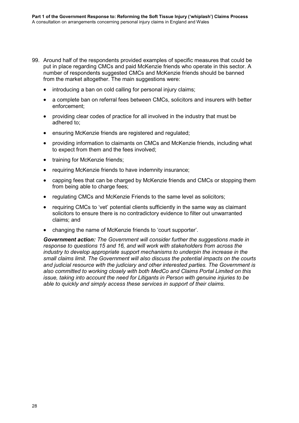- 99. Around half of the respondents provided examples of specific measures that could be put in place regarding CMCs and paid McKenzie friends who operate in this sector. A number of respondents suggested CMCs and McKenzie friends should be banned from the market altogether. The main suggestions were:
	- introducing a ban on cold calling for personal injury claims;
	- a complete ban on referral fees between CMCs, solicitors and insurers with better enforcement;
	- providing clear codes of practice for all involved in the industry that must be adhered to;
	- ensuring McKenzie friends are registered and regulated;
	- providing information to claimants on CMCs and McKenzie friends, including what to expect from them and the fees involved;
	- training for McKenzie friends:
	- requiring McKenzie friends to have indemnity insurance;
	- capping fees that can be charged by McKenzie friends and CMCs or stopping them from being able to charge fees;
	- regulating CMCs and McKenzie Friends to the same level as solicitors;
	- requiring CMCs to 'vet' potential clients sufficiently in the same way as claimant solicitors to ensure there is no contradictory evidence to filter out unwarranted claims; and
	- changing the name of McKenzie friends to 'court supporter'.

*Government action: The Government will consider further the suggestions made in response to questions 15 and 16, and will work with stakeholders from across the industry to develop appropriate support mechanisms to underpin the increase in the small claims limit. The Government will also discuss the potential impacts on the courts and judicial resource with the judiciary and other interested parties. The Government is also committed to working closely with both MedCo and Claims Portal Limited on this issue, taking into account the need for Litigants in Person with genuine injuries to be able to quickly and simply access these services in support of their claims.*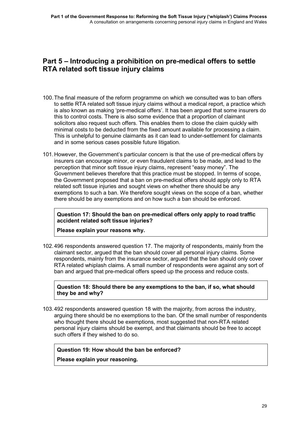### **Part 5 – Introducing a prohibition on pre-medical offers to settle RTA related soft tissue injury claims**

- 100.The final measure of the reform programme on which we consulted was to ban offers to settle RTA related soft tissue injury claims without a medical report, a practice which is also known as making 'pre-medical offers'. It has been argued that some insurers do this to control costs. There is also some evidence that a proportion of claimant solicitors also request such offers. This enables them to close the claim quickly with minimal costs to be deducted from the fixed amount available for processing a claim. This is unhelpful to genuine claimants as it can lead to under-settlement for claimants and in some serious cases possible future litigation.
- 101.However, the Government's particular concern is that the use of pre-medical offers by insurers can encourage minor, or even fraudulent claims to be made, and lead to the perception that minor soft tissue injury claims, represent "easy money". The Government believes therefore that this practice must be stopped. In terms of scope, the Government proposed that a ban on pre-medical offers should apply only to RTA related soft tissue injuries and sought views on whether there should be any exemptions to such a ban. We therefore sought views on the scope of a ban, whether there should be any exemptions and on how such a ban should be enforced.

**Question 17: Should the ban on pre-medical offers only apply to road traffic accident related soft tissue injuries?**

**Please explain your reasons why.**

102.496 respondents answered question 17. The majority of respondents, mainly from the claimant sector, argued that the ban should cover all personal injury claims. Some respondents, mainly from the insurance sector, argued that the ban should only cover RTA related whiplash claims. A small number of respondents were against any sort of ban and argued that pre-medical offers speed up the process and reduce costs.

**Question 18: Should there be any exemptions to the ban, if so, what should they be and why?**

103.492 respondents answered question 18 with the majority, from across the industry, arguing there should be no exemptions to the ban. Of the small number of respondents who thought there should be exemptions, most suggested that non-RTA related personal injury claims should be exempt, and that claimants should be free to accept such offers if they wished to do so.

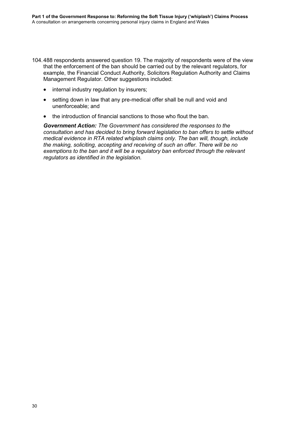- 104.488 respondents answered question 19. The majority of respondents were of the view that the enforcement of the ban should be carried out by the relevant regulators, for example, the Financial Conduct Authority, Solicitors Regulation Authority and Claims Management Regulator. Other suggestions included:
	- internal industry regulation by insurers;
	- setting down in law that any pre-medical offer shall be null and void and unenforceable; and
	- the introduction of financial sanctions to those who flout the ban.

*Government Action: The Government has considered the responses to the consultation and has decided to bring forward legislation to ban offers to settle without medical evidence in RTA related whiplash claims only. The ban will, though, include the making, soliciting, accepting and receiving of such an offer. There will be no exemptions to the ban and it will be a regulatory ban enforced through the relevant regulators as identified in the legislation.*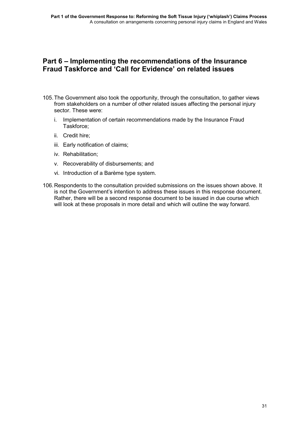### **Part 6 – Implementing the recommendations of the Insurance Fraud Taskforce and 'Call for Evidence' on related issues**

- 105.The Government also took the opportunity, through the consultation, to gather views from stakeholders on a number of other related issues affecting the personal injury sector. These were:
	- i. Implementation of certain recommendations made by the Insurance Fraud Taskforce;
	- ii. Credit hire;
	- iii. Early notification of claims;
	- iv. Rehabilitation;
	- v. Recoverability of disbursements; and
	- vi. Introduction of a Barème type system.
- 106.Respondents to the consultation provided submissions on the issues shown above. It is not the Government's intention to address these issues in this response document. Rather, there will be a second response document to be issued in due course which will look at these proposals in more detail and which will outline the way forward.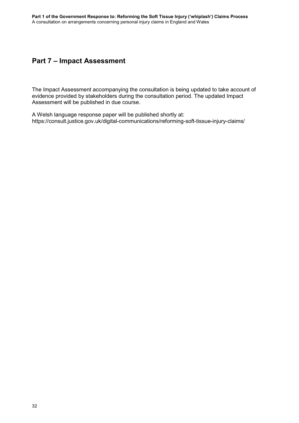### **Part 7 – Impact Assessment**

The Impact Assessment accompanying the consultation is being updated to take account of evidence provided by stakeholders during the consultation period. The updated Impact Assessment will be published in due course.

A Welsh language response paper will be published shortly at: <https://consult.justice.gov.uk/digital-communications/reforming-soft-tissue-injury-claims/>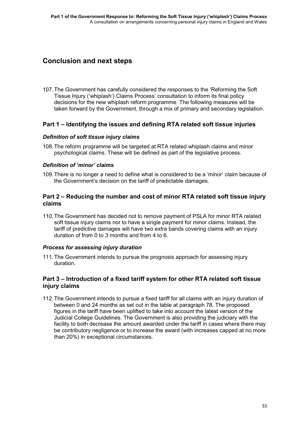### **Conclusion and next steps**

107.The Government has carefully considered the responses to the 'Reforming the Soft Tissue Injury ('whiplash') Claims Process' consultation to inform its final policy decisions for the new whiplash reform programme. The following measures will be taken forward by the Government, through a mix of primary and secondary legislation.

### **Part 1 – Identifying the issues and defining RTA related soft tissue injuries**

#### *Definition of soft tissue injury claims*

108.The reform programme will be targeted at RTA related whiplash claims and minor psychological claims. These will be defined as part of the legislative process.

#### *Definition of 'minor' claims*

109.There is no longer a need to define what is considered to be a 'minor' claim because of the Government's decision on the tariff of predictable damages.

### **Part 2 – Reducing the number and cost of minor RTA related soft tissue injury claims**

110.The Government has decided not to remove payment of PSLA for minor RTA related soft tissue injury claims nor to have a single payment for minor claims. Instead, the tariff of predictive damages will have two extra bands covering claims with an injury duration of from 0 to 3 months and from 4 to 6.

#### *Process for assessing injury duration*

111.The Government intends to pursue the prognosis approach for assessing injury duration.

### **Part 3 – Introduction of a fixed tariff system for other RTA related soft tissue injury claims**

112.The Government intends to pursue a fixed tariff for all claims with an injury duration of between 0 and 24 months as set out in the table at paragraph 78. The proposed figures in the tariff have been uplifted to take into account the latest version of the Judicial College Guidelines. The Government is also providing the judiciary with the facility to both decrease the amount awarded under the tariff in cases where there may be contributory negligence or to increase the award (with increases capped at no more than 20%) in exceptional circumstances.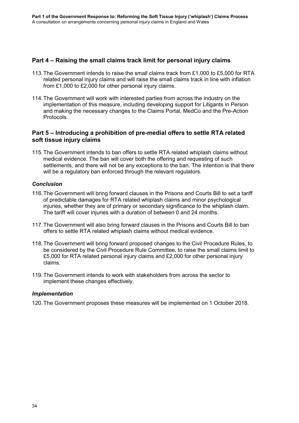### **Part 4 – Raising the small claims track limit for personal injury claims**

- 113.The Government intends to raise the small claims track from £1,000 to £5,000 for RTA related personal injury claims and will raise the small claims track in line with inflation from £1,000 to £2,000 for other personal injury claims.
- 114.The Government will work with interested parties from across the industry on the implementation of this measure, including developing support for Litigants in Person and making the necessary changes to the Claims Portal, MedCo and the Pre-Action Protocols.

### **Part 5 – Introducing a prohibition of pre-medial offers to settle RTA related soft tissue injury claims**

115.The Government intends to ban offers to settle RTA related whiplash claims without medical evidence. The ban will cover both the offering and requesting of such settlements, and there will not be any exceptions to the ban. The intention is that there will be a regulatory ban enforced through the relevant regulators.

### *Conclusion*

- 116.The Government will bring forward clauses in the Prisons and Courts Bill to set a tariff of predictable damages for RTA related whiplash claims and minor psychological injuries, whether they are of primary or secondary significance to the whiplash claim. The tariff will cover injuries with a duration of between 0 and 24 months.
- 117.The Government will also bring forward clauses in the Prisons and Courts Bill to ban offers to settle RTA related whiplash claims without medical evidence.
- 118.The Government will bring forward proposed changes to the Civil Procedure Rules, to be considered by the Civil Procedure Rule Committee, to raise the small claims limit to £5,000 for RTA related personal injury claims and £2,000 for other personal injury claims.
- 119.The Government intends to work with stakeholders from across the sector to implement these changes effectively.

#### *Implementation*

120.The Government proposes these measures will be implemented on 1 October 2018.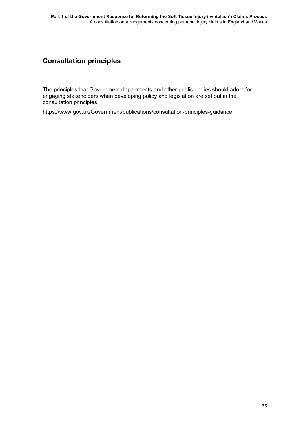# **Consultation principles**

The principles that Government departments and other public bodies should adopt for engaging stakeholders when developing policy and legislation are set out in the consultation principles.

[https://www.gov.uk/Government/publications/consultation-principles-guidance](https://www.gov.uk/government/publications/consultation-principles-guidance)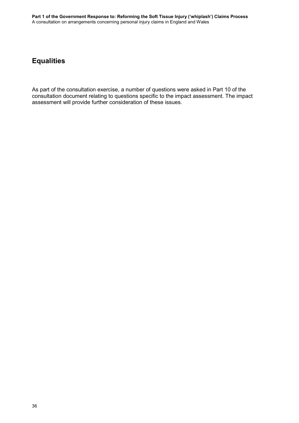# **Equalities**

As part of the consultation exercise, a number of questions were asked in Part 10 of the consultation document relating to questions specific to the impact assessment. The impact assessment will provide further consideration of these issues.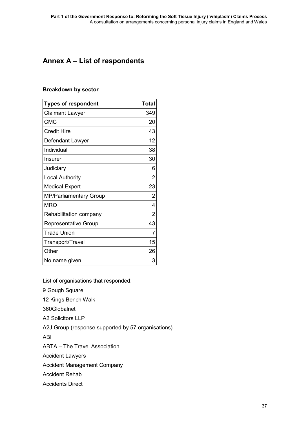# <span id="page-39-0"></span>**Annex A – List of respondents**

#### **Breakdown by sector**

| <b>Types of respondent</b>  | <b>Total</b>   |
|-----------------------------|----------------|
| <b>Claimant Lawyer</b>      | 349            |
| <b>CMC</b>                  | 20             |
| <b>Credit Hire</b>          | 43             |
| Defendant Lawyer            | 12             |
| Individual                  | 38             |
| Insurer                     | 30             |
| Judiciary                   | 6              |
| <b>Local Authority</b>      | 2              |
| <b>Medical Expert</b>       | 23             |
| MP/Parliamentary Group      | $\overline{2}$ |
| <b>MRO</b>                  | 4              |
| Rehabilitation company      | $\overline{2}$ |
| <b>Representative Group</b> | 43             |
| <b>Trade Union</b>          | 7              |
| Transport/Travel            | 15             |
| Other                       | 26             |
| No name given               | 3              |

List of organisations that responded:

9 Gough Square

12 Kings Bench Walk

360Globalnet

A2 Solicitors LLP

A2J Group (response supported by 57 organisations)

ABI

ABTA – The Travel Association

Accident Lawyers

Accident Management Company

Accident Rehab

Accidents Direct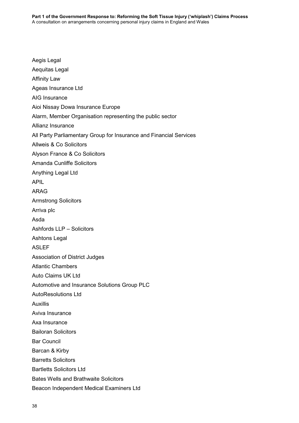Aegis Legal Aequitas Legal Affinity Law Ageas Insurance Ltd AIG Insurance Aioi Nissay Dowa Insurance Europe Alarm, Member Organisation representing the public sector Allianz Insurance All Party Parliamentary Group for Insurance and Financial Services Allweis & Co Solicitors Alyson France & Co Solicitors Amanda Cunliffe Solicitors Anything Legal Ltd APIL ARAG Armstrong Solicitors Arriva plc Asda Ashfords LLP – Solicitors Ashtons Legal ASLEF Association of District Judges Atlantic Chambers Auto Claims UK Ltd Automotive and Insurance Solutions Group PLC AutoResolutions Ltd Auxillis Aviva Insurance Axa Insurance Bailoran Solicitors Bar Council Barcan & Kirby Barretts Solicitors Bartletts Solicitors Ltd Bates Wells and Brathwaite Solicitors Beacon Independent Medical Examiners Ltd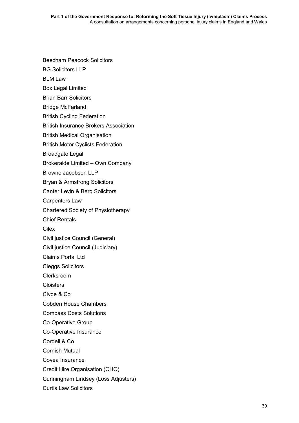Beecham Peacock Solicitors

BG Solicitors LLP

BLM Law

Box Legal Limited

Brian Barr Solicitors

Bridge McFarland

British Cycling Federation

British Insurance Brokers Association

British Medical Organisation

British Motor Cyclists Federation

Broadgate Legal

Brokeraide Limited – Own Company

Browne Jacobson LLP

Bryan & Armstrong Solicitors

Canter Levin & Berg Solicitors

Carpenters Law

Chartered Society of Physiotherapy

Chief Rentals

Cilex

Civil justice Council (General)

Civil justice Council (Judiciary)

Claims Portal Ltd

Cleggs Solicitors

Clerksroom

**Cloisters** 

Clyde & Co

Cobden House Chambers

Compass Costs Solutions

Co-Operative Group

Co-Operative Insurance

Cordell & Co

Cornish Mutual

Covea Insurance

Credit Hire Organisation (CHO)

Cunningham Lindsey (Loss Adjusters)

Curtis Law Solicitors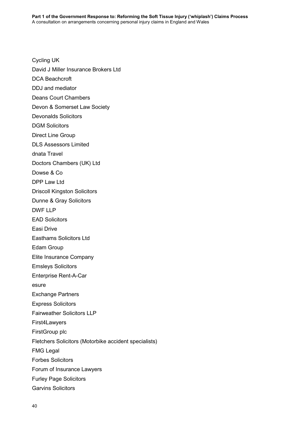Cycling UK David J Miller Insurance Brokers Ltd DCA Beachcroft DDJ and mediator Deans Court Chambers Devon & Somerset Law Society Devonalds Solicitors DGM Solicitors Direct Line Group DLS Assessors Limited dnata Travel Doctors Chambers (UK) Ltd Dowse & Co DPP Law Ltd Driscoll Kingston Solicitors Dunne & Gray Solicitors DWF LLP EAD Solicitors Easi Drive Easthams Solicitors Ltd Edam Group Elite Insurance Company Emsleys Solicitors Enterprise Rent-A-Car esure Exchange Partners Express Solicitors Fairweather Solicitors LLP First4Lawyers FirstGroup plc Fletchers Solicitors (Motorbike accident specialists) FMG Legal Forbes Solicitors Forum of Insurance Lawyers Furley Page Solicitors Garvins Solicitors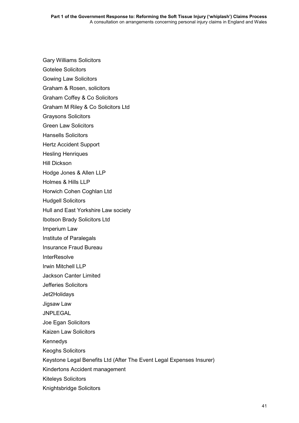Gary Williams Solicitors

Gotelee Solicitors

- Gowing Law Solicitors
- Graham & Rosen, solicitors
- Graham Coffey & Co Solicitors
- Graham M Riley & Co Solicitors Ltd

Graysons Solicitors

- Green Law Solicitors
- Hansells Solicitors

Hertz Accident Support

- Hesling Henriques
- Hill Dickson

Hodge Jones & Allen LLP

Holmes & Hills LLP

Horwich Cohen Coghlan Ltd

- Hudgell Solicitors
- Hull and East Yorkshire Law society
- Ibotson Brady Solicitors Ltd
- Imperium Law
- Institute of Paralegals
- Insurance Fraud Bureau
- **InterResolve**
- Irwin Mitchell LLP
- Jackson Canter Limited
- Jefferies Solicitors
- Jet2Holidays
- Jigsaw Law

JNPLEGAL

- Joe Egan Solicitors
- Kaizen Law Solicitors

Kennedys

- Keoghs Solicitors
- Keystone Legal Benefits Ltd (After The Event Legal Expenses Insurer)
- Kindertons Accident management
- Kiteleys Solicitors
- Knightsbridge Solicitors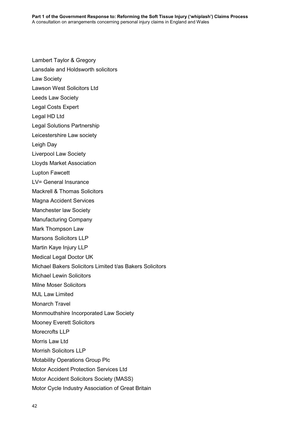Lansdale and Holdsworth solicitors Law Society Lawson West Solicitors Ltd Leeds Law Society Legal Costs Expert Legal HD Ltd Legal Solutions Partnership Leicestershire Law society Leigh Day Liverpool Law Society Lloyds Market Association Lupton Fawcett LV= General Insurance Mackrell & Thomas Solicitors Magna Accident Services Manchester law Society Manufacturing Company Mark Thompson Law Marsons Solicitors LLP Martin Kaye Injury LLP Medical Legal Doctor UK Michael Bakers Solicitors Limited t/as Bakers Solicitors Michael Lewin Solicitors Milne Moser Solicitors MJL Law Limited Monarch Travel Monmouthshire Incorporated Law Society Mooney Everett Solicitors Morecrofts LLP Morris Law Ltd Morrish Solicitors LLP Motability Operations Group Plc Motor Accident Protection Services Ltd Motor Accident Solicitors Society (MASS) Motor Cycle Industry Association of Great Britain

Lambert Taylor & Gregory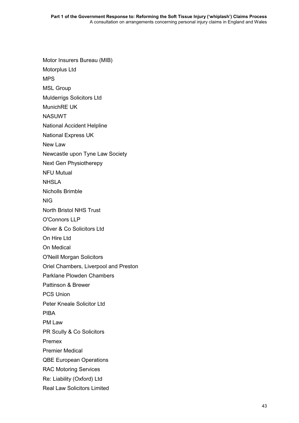Motor Insurers Bureau (MIB) Motorplus Ltd MPS MSL Group Mulderrigs Solicitors Ltd MunichRE UK NASUWT National Accident Helpline National Express UK New Law Newcastle upon Tyne Law Society Next Gen Physiotherepy NFU Mutual NHSLA Nicholls Brimble NIG North Bristol NHS Trust O'Connors LLP Oliver & Co Solicitors Ltd On Hire Ltd On Medical O'Neill Morgan Solicitors Oriel Chambers, Liverpool and Preston Parklane Plowden Chambers Pattinson & Brewer PCS Union Peter Kneale Solicitor Ltd PIBA PM Law PR Scully & Co Solicitors Premex Premier Medical QBE European Operations RAC Motoring Services Re: Liability (Oxford) Ltd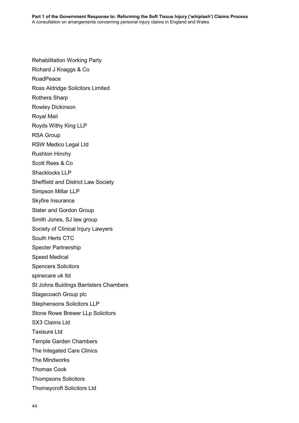Rehabilitation Working Party Richard J Knaggs & Co RoadPeace Ross Aldridge Solicitors Limited Rothera Sharp Rowley Dickinson Royal Mail Royds Withy King LLP RSA Group RSW Medico Legal Ltd Rushton Hinchy Scott Rees & Co Shacklocks LLP Sheffield and District Law Society Simpson Millar LLP Skyfire Insurance Slater and Gordon Group Smith Jones, SJ law group Society of Clinical Injury Lawyers South Herts CTC Specter Partnership Speed Medical Spencers Solicitors spinecare uk ltd St Johns Buldings Barristers Chambers Stagecoach Group plc Stephensons Solicitors LLP Stone Rowe Brewer LLp Solicitors SX3 Claims Ltd Taxisure Ltd Temple Garden Chambers The Integated Care Clinics The Mindworks Thomas Cook Thompsons Solicitors Thorneycroft Solicitors Ltd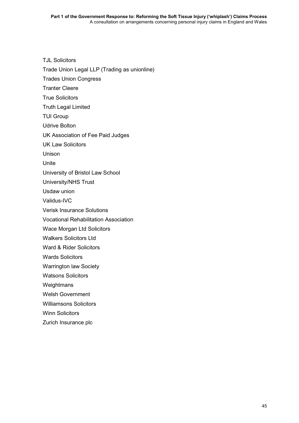TJL Solicitors

Trade Union Legal LLP (Trading as unionline)

Trades Union Congress

Tranter Cleere

True Solicitors

Truth Legal Limited

TUI Group

Udrive Bolton

UK Association of Fee Paid Judges

UK Law Solicitors

Unison

Unite

University of Bristol Law School

University/NHS Trust

Usdaw union

Validus-IVC

Verisk Insurance Solutions

Vocational Rehabilitation Association

Wace Morgan Ltd Solicitors

Walkers Solicitors Ltd

Ward & Rider Solicitors

Wards Solicitors

Warrington law Society

Watsons Solicitors

**Weightmans** 

Welsh Government

Williamsons Solicitors

Winn Solicitors

Zurich Insurance plc